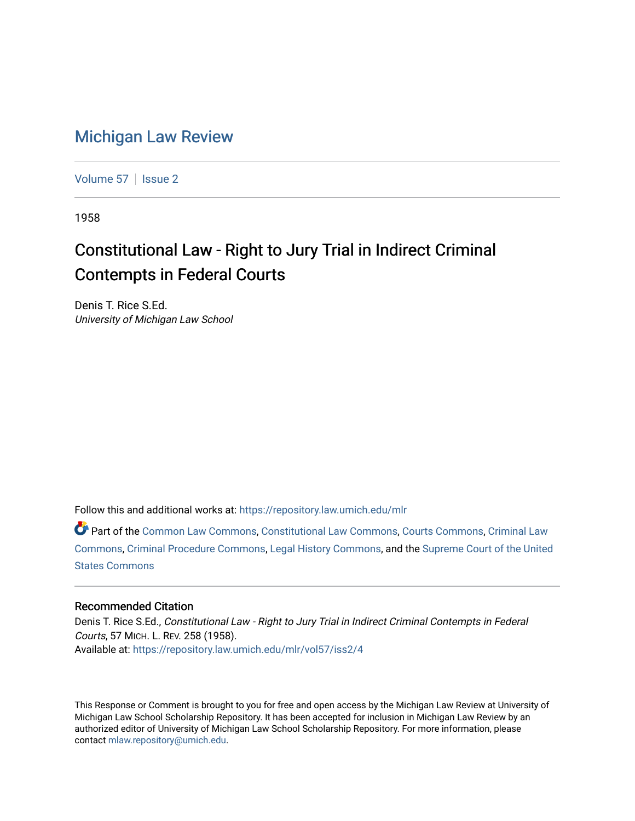# [Michigan Law Review](https://repository.law.umich.edu/mlr)

[Volume 57](https://repository.law.umich.edu/mlr/vol57) | [Issue 2](https://repository.law.umich.edu/mlr/vol57/iss2)

1958

# Constitutional Law - Right to Jury Trial in Indirect Criminal Contempts in Federal Courts

Denis T. Rice S.Ed. University of Michigan Law School

Follow this and additional works at: [https://repository.law.umich.edu/mlr](https://repository.law.umich.edu/mlr?utm_source=repository.law.umich.edu%2Fmlr%2Fvol57%2Fiss2%2F4&utm_medium=PDF&utm_campaign=PDFCoverPages) 

Part of the [Common Law Commons,](http://network.bepress.com/hgg/discipline/1120?utm_source=repository.law.umich.edu%2Fmlr%2Fvol57%2Fiss2%2F4&utm_medium=PDF&utm_campaign=PDFCoverPages) [Constitutional Law Commons,](http://network.bepress.com/hgg/discipline/589?utm_source=repository.law.umich.edu%2Fmlr%2Fvol57%2Fiss2%2F4&utm_medium=PDF&utm_campaign=PDFCoverPages) [Courts Commons](http://network.bepress.com/hgg/discipline/839?utm_source=repository.law.umich.edu%2Fmlr%2Fvol57%2Fiss2%2F4&utm_medium=PDF&utm_campaign=PDFCoverPages), [Criminal Law](http://network.bepress.com/hgg/discipline/912?utm_source=repository.law.umich.edu%2Fmlr%2Fvol57%2Fiss2%2F4&utm_medium=PDF&utm_campaign=PDFCoverPages)  [Commons](http://network.bepress.com/hgg/discipline/912?utm_source=repository.law.umich.edu%2Fmlr%2Fvol57%2Fiss2%2F4&utm_medium=PDF&utm_campaign=PDFCoverPages), [Criminal Procedure Commons](http://network.bepress.com/hgg/discipline/1073?utm_source=repository.law.umich.edu%2Fmlr%2Fvol57%2Fiss2%2F4&utm_medium=PDF&utm_campaign=PDFCoverPages), [Legal History Commons,](http://network.bepress.com/hgg/discipline/904?utm_source=repository.law.umich.edu%2Fmlr%2Fvol57%2Fiss2%2F4&utm_medium=PDF&utm_campaign=PDFCoverPages) and the [Supreme Court of the United](http://network.bepress.com/hgg/discipline/1350?utm_source=repository.law.umich.edu%2Fmlr%2Fvol57%2Fiss2%2F4&utm_medium=PDF&utm_campaign=PDFCoverPages)  [States Commons](http://network.bepress.com/hgg/discipline/1350?utm_source=repository.law.umich.edu%2Fmlr%2Fvol57%2Fiss2%2F4&utm_medium=PDF&utm_campaign=PDFCoverPages) 

## Recommended Citation

Denis T. Rice S.Ed., Constitutional Law - Right to Jury Trial in Indirect Criminal Contempts in Federal Courts, 57 MICH. L. REV. 258 (1958). Available at: [https://repository.law.umich.edu/mlr/vol57/iss2/4](https://repository.law.umich.edu/mlr/vol57/iss2/4?utm_source=repository.law.umich.edu%2Fmlr%2Fvol57%2Fiss2%2F4&utm_medium=PDF&utm_campaign=PDFCoverPages)

This Response or Comment is brought to you for free and open access by the Michigan Law Review at University of Michigan Law School Scholarship Repository. It has been accepted for inclusion in Michigan Law Review by an authorized editor of University of Michigan Law School Scholarship Repository. For more information, please contact [mlaw.repository@umich.edu](mailto:mlaw.repository@umich.edu).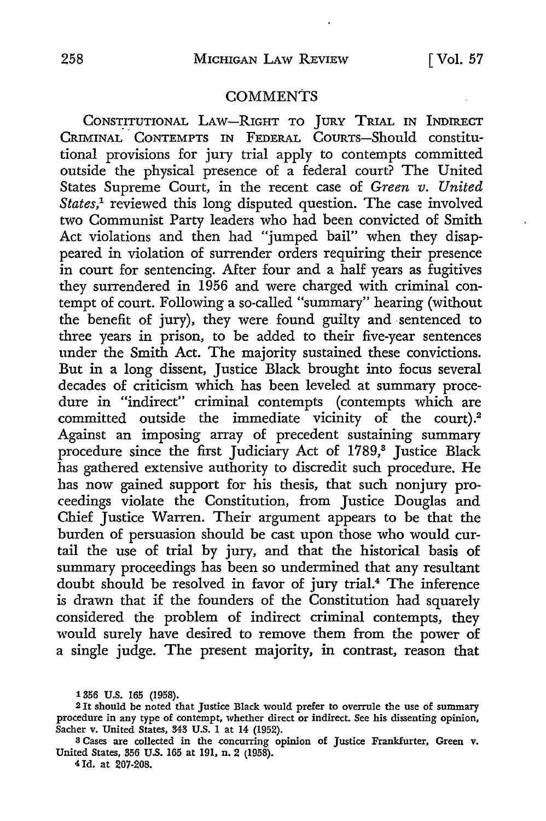#### **COMMENTS**

**CONS1:ITUTIONAL LAW-RIGHT TO JURY TRIAL IN INDIRECT**  CRIMINAL CONTEMPTS IN FEDERAL CouRTs-Should constitutional provisions for jury trial apply to contempts committed outside the physical presence of a federal court? The United States Supreme Court, in the recent case of *Green v. United States,1* reviewed this long disputed question. The case involved two Communist Party leaders who had been convicted of Smith Act violations and then had "jumped bail" when they disappeared in violation of surrender orders requiring their presence in court for sentencing. After four and a half years as fugitives they surrendered in 1956 and were charged with criminal contempt of court. Following a so-called "summary" hearing (without the benefit of jury), they were found guilty and sentenced to three years in prison, to be added to their five-year sentences under the Smith Act. The majority sustained these convictions. But in a long dissent, Justice Black brought into focus several decades of criticism which has been leveled at summary procedure in "indirect" criminal contempts (contempts which are committed outside the immediate vicinity of the court).<sup>2</sup> Against an imposing array of precedent sustaining summary procedure since the first Judiciary Act of 1789,<sup>3</sup> Justice Black has gathered extensive authority to discredit such procedure. He has now gained support for his thesis, that such nonjury proceedings violate the Constitution, from Justice Douglas and Chief Justice Warren. Their argument appears to be that the burden of persuasion should be cast upon those who would curtail the use of trial by jury, and that the historical basis of summary proceedings has been so undermined that any resultant doubt should be resolved in favor of jury trial.4 The inference is drawn that if the founders of the Constitution had squarely considered the problem of indirect criminal contempts, they would surely have desired to remove them from the power of a single judge. The present majority, in contrast, reason that

<sup>1356</sup> U.S. 165 (1958).

<sup>2</sup>It should be noted that Justice Black would prefer to overrule the use of summary procedure in any type of contempt, whether direct or indirect. See his dissenting opinion, Sacher v. United States, 343 U.S. I at 14 (1952).

s Cases are collected in the concurring opinion of Justice Frankfurter, Green v. United States, 356 U.S. 165 at 191, n. 2 (1958).

<sup>4</sup> Id. at 207-208.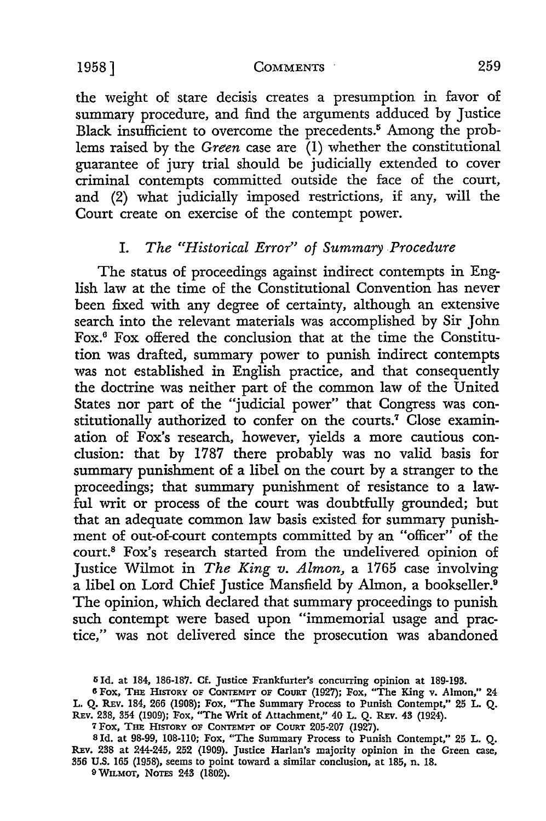#### 1958] **COMMENTS** 259

the weight of stare decisis creates a presumption in favor of summary procedure, and find the arguments adduced by Justice Black insufficient to overcome the precedents.<sup>5</sup> Among the problems raised by the *Green* case are (1) whether the constitutional guarantee of jury trial should be judicially extended to cover criminal contempts committed outside the face of the court, and (2) what judicially imposed restrictions, if any, will the Court create on exercise of the contempt power.

## I. *The "Historical Error" of Summary Procedure*

The status of proceedings against indirect contempts in English law at the time of the Constitutional Convention has never been fixed with any degree of certainty, although an extensive search into the relevant materials was accomplished by Sir John Fox.6 Fox offered the conclusion that at the time the Constitution was drafted, summary power to punish indirect contempts was not established in English practice, and that consequently the doctrine was neither part of the common law of the United States nor part of the "judicial power" that Congress was constitutionally authorized to confer on the courts.7 Close examination of Fox's research, however, yields a more cautious conclusion: that by 1787 there probably was no valid basis for summary punishment of a libel on the court by a stranger to the proceedings; that summary punishment of resistance to a lawful writ or process of the court was doubtfully grounded; but that an adequate common law basis existed for summary punishment of out-of-court contempts committed by an "officer" of the court.8 Fox's research started from the undelivered opinion of Justice Wilmot in *The King v. Almon,* a 1765 case involving a libel on Lord Chief Justice Mansfield by Almon, a bookseller.<sup>9</sup> The opinion, which declared that summary proceedings to punish such contempt were based upon "immemorial usage and practice," was not delivered since the prosecution was abandoned

9 WILMOT, NOTES 243 (1802).

<sup>5</sup> Id. at 184, 186-187. Cf. Justice Frankfurter's concurring opinion at 189-193.

<sup>8</sup>Fox, THE HISTORY OF CONTEMPT OF COURT (1927); Fox, "The King v. Almon," 24 L. Q. R.Ev. 184, 266 (1908); Fox, "The Summary Process to Punish Contempt," 25 L. Q. REV. 238, 354 (1909); Fox, "The Writ of Attachment," 40 L. Q. REV. 43 (1924).

<sup>7</sup> Fox, THE HISTORY OF CONTEMPT OF COURT 205-207 (1927).

s Id. at 98-99, 108-110; Fox, "The Summary Process to Punish Contempt," 25 L. Q. R.Ev. 238 at 244-245, 252 (1909). Justice Harlan's majority opinion in the Green case, 356 U.S. 165 (1958), seems to point toward a similar conclusion, at 185, n. 18.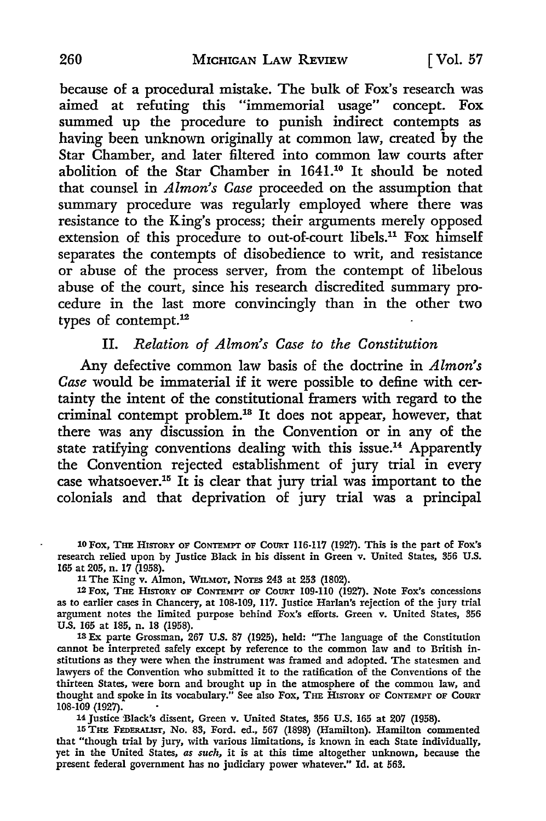because of a procedural mistake. The bulk of Fox's research was aimed at refuting this "immemorial usage" concept. Fox summed up the procedure to punish indirect contempts as having been unknown originally at common law, created by the Star Chamber, and later filtered into common law courts after abolition of the Star Chamber in 1641.10 It should be noted that counsel in *Almon's Case* proceeded on the assumption that summary procedure was regularly employed where there was resistance to the King's process; their arguments merely opposed extension of this procedure to out-of-court libels.11 Fox himself separates the contempts of disobedience to writ, and resistance or abuse of the process server, from the contempt of libelous abuse of the court, since his research discredited summary procedure in the last more convincingly than in the other two types of contempt.12

#### II. *Relation of Almon's Case to the Constitution*

Any defective common law basis of the doctrine in *Almon's Case* would be immaterial if it were possible to define with certainty the intent of the constitutional framers with regard to the criminal contempt problem.18 It does not appear, however, that there was any discussion in the Convention or in any of the state ratifying conventions dealing with this issue.14 Apparently the Convention rejected establishment of jury trial in every case whatsoever.15 It is clear that jury trial was important to the colonials and that deprivation of jury trial was a principal

<sup>11</sup>The King v. Almon, WILMOT, NOTES 243 at 253 (1802).

12 Fox, THE HISTORY OF CONTEMPT OF COURT 109-110 (1927). Note Fox's concessions as to earlier cases in Chancery, at 108-109, 117. Justice Harlan's rejection of the jury trial argument notes the limited purpose behind Fox's efforts. Green v. United States, 356 U.S. 165 at 185, n. 18 (1958).

13 Ex parte Grossman, 267 U.S. 87 (1925), held: "The language of the Constitution cannot be interpreted safely except by reference to the common law and to British institutions as they were when the instrument was framed and adopted. The statesmen and lawyers of the Convention who submitted it to the ratification of the Conventions of the thirteen States, were born and brought up in the atmosphere of the common law, and thought and spoke in its vocabulary." See also Fox, THE HISTORY OF CONTEMPT OF COURT 108-109 (1927).

14 Justice ·Black's dissent, Green v. United States, 356 U.S. 165 at 207 (1958).

15 THE FEDERALIST, No. 83, Ford. ed., 567 (1898) (Hamilton). Hamilton commented that "though trial by jury, with various limitations, is known in each State individually, yet in the United States, *as such,* it is at this time altogether unknown, because the present federal government has no judiciary power whatever." Id. at 563.

<sup>10</sup> Fox, THE HISTORY OF CONTEMPT OF COURT 116-117 (1927). This is the part of Fox's research relied upon by Justice Black in bis dissent in Green v. United States, 356 U.S. 165 at 205, n. 17 (1958).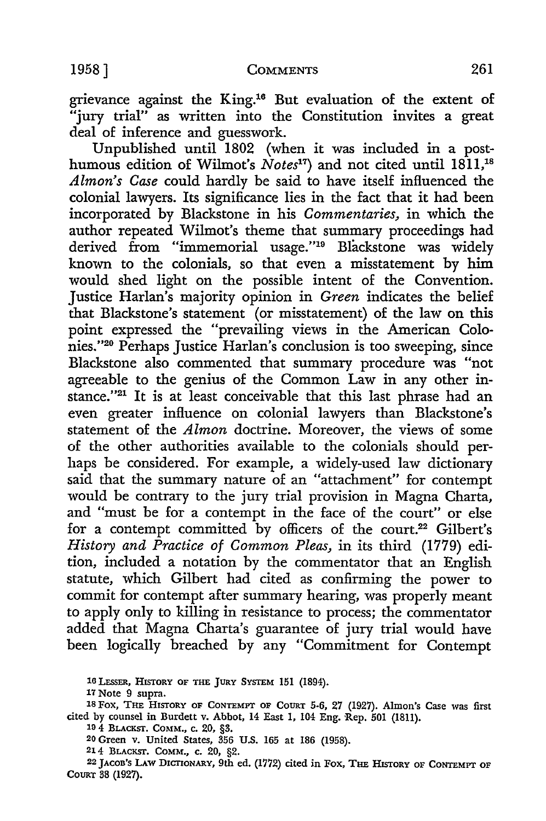grievance against the King.16 But evaluation of the extent of "jury trial" as written into the Constitution invites a great deal of inference and guesswork.

Unpublished until 1802 (when it was included in a posthumous edition of Wilmot's *Notes*<sup>17</sup>) and not cited until 1811,<sup>18</sup> *Almon's Case* could hardly be said to have itself influenced the colonial lawyers. Its significance lies in the fact that it had been incorporated by Blackstone in his *Commentaries,* in which the author repeated Wilmot's theme that summary proceedings had derived from "immemorial usage."19 Blackstone was widely known to the colonials, so that even a misstatement by him would shed light on the possible intent of the Convention. Justice Harlan's majority opinion in *Green* indicates the belief that Blackstone's statement (or misstatement) of the law on this point expressed the "prevailing views in the American Colonies. "20 Perhaps Justice Harlan's conclusion is too sweeping, since Blackstone also commented that summary procedure was "not agreeable to the genius of the Common Law in any other instance."<sup>21</sup> It is at least conceivable that this last phrase had an even greater influence on colonial lawyers than Blackstone's statement of the *Almon* doctrine. Moreover, the views of some of the other authorities available to the colonials should perhaps be considered. For example, a widely-used law dictionary said that the summary nature of an "attachment" for contempt would be contrary to the jury trial provision in Magna Charta, and "must be for a contempt in the face of the court" or else for a contempt committed by officers of the court.<sup>22</sup> Gilbert's *History and Practice of Common Pleas,* in its third (1779) edition, included a notation by the commentator that an English statute, which Gilbert had cited as confirming the power to commit for contempt after summary hearing, was properly meant to apply only to killing in resistance to process; the commentator added that Magna Charta's guarantee of jury trial would have been logically breached by any "Commitment for Contempt

17 Note 9 supra.

214 BLACKST. COMM., c. 20, §2.

22 JACOB'S LAW DicrIONARY, 9th ed. (1772) cited in Fox, THE HISTORY OF CONTEMPT OF COURT 38 (1927).

<sup>16</sup> LEssER, HISTORY OF THE JURY SYSTEM 151 (1894).

<sup>18</sup> Fox, THE HISTORY OF CONTEMPT OF COURT 5-6, 27 (1927). Almon's Case was first cited by counsel in Burdett v. Abbot, 14 East 1, 104 Eng. Rep. 501 (1811).

<sup>19 4</sup> BLACKST. COMM., c. 20, §3.

<sup>20</sup> Green v. United States, 356 U.S. 165 at 186 (1958).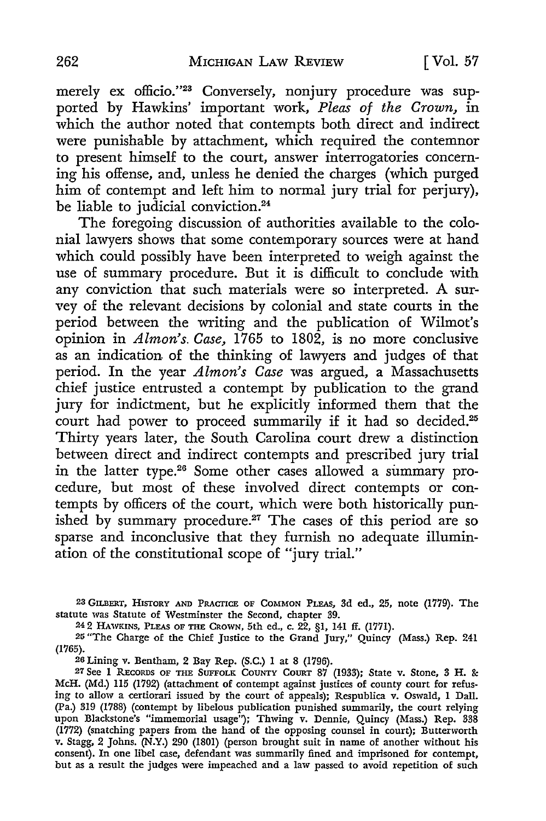merely ex officio."23 Conversely, nonjury procedure was supported by Hawkins' important work, *Pleas of the Crown,* in which the author noted that contempts both direct and indirect were punishable by attachment, which required the contemnor to present himself to the court, answer interrogatories concerning his offense, and, unless he denied the charges (which purged him of contempt and left him to normal jury trial for perjury), be liable to judicial conviction.<sup>24</sup>

The foregoing discussion of authorities available to the colonial lawyers shows that some contemporary sources were at hand which could possibly have been interpreted to weigh against the use of summary procedure. But it is difficult to conclude with any conviction that such materials were so interpreted. A survey of the relevant decisions by colonial and state courts in the period between the writing and the publication of Wilmot's opinion in *Almon's. Case,* 1765 to 1802, is no more conclusive as an indication of the thinking of lawyers and judges of that period. In the year *Almon's Case* was argued, a Massachusetts chief justice entrusted a contempt by publication to the grand jury for indictment, but he explicitly informed them that the court had power to proceed summarily if it had so decided.<sup>25</sup> Thirty years later, the South Carolina court drew a distinction between direct and indirect contempts and prescribed jury trial in the latter type.<sup>26</sup> Some other cases allowed a summary procedure, but most of these involved direct contempts or contempts by officers of the court, which were both historically punished by summary procedure.<sup>27</sup> The cases of this period are so sparse and inconclusive that they furnish no adequate illumination of the constitutional scope of "jury trial."

<sup>23</sup>GILBERT, HISTORY AND PRACTICE OF COMMON PLEAS, 3d ed., 25, note (1779). The statute was Statute of Westminster the Second, chapter 39.

24 2 HAWKINS, PLEAS OF THE CROWN, 5th ed., c. 22, §1, 141 ff. (1771).

<sup>25</sup>"The Charge of the Chief Justice to the Grand Jury," Quincy (Mass.) Rep. 241 (1765).

26 Lining v. Bentham, 2 Bay Rep. (S.C.) I at 8 (1796).

27 See I REcoRDs OF THE SUFFOLK COUNTY COURT 87 (1933); State v. Stone, 3 H. &: McH. (Md.) 115 (1792) (attachment of contempt against justices of county court for refusing to allow a certiorari issued by the court of appeals); Respublica v. Oswald, I Dall. (Pa.) 319 (1788) (contempt by libelous publication punished summarily, the court relying upon Blackstone's "immemorial usage"); Thwing v. Dennie, Quincy (Mass.) Rep. 338 (1772) (snatching papers from the hand of the opposing counsel in court); Butterworth v. Stagg, 2 Johns. (N.Y.) 290 (1801) (person brought suit in name of another without his consent). In one libel case, defendant was summarily fined and imprisoned for contempt, but as a result the judges were impeached and a law passed to avoid repetition of such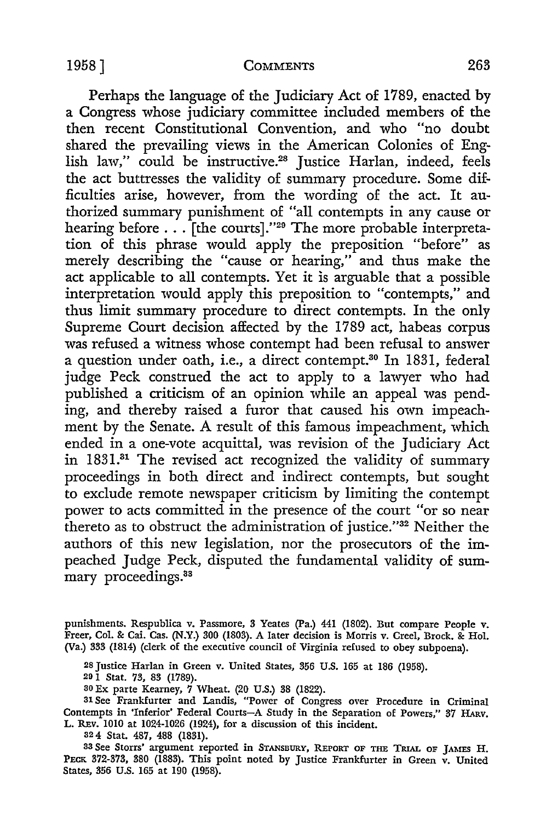Perhaps the language of the Judiciary Act of 1789, enacted by a Congress whose judiciary committee included members of the then recent Constitutional Convention, and who "no doubt shared the prevailing views in the American Colonies of English law," could be instructive.<sup>28</sup> Justice Harlan, indeed, feels the act buttresses the validity of summary procedure. Some difficulties arise, however, from the wording of the act. It authorized summary punishment of "all contempts in any cause or hearing before . . . [the courts]."<sup>29</sup> The more probable interpretation of this phrase would apply the preposition "before" as merely describing the "cause or hearing," and thus make the act applicable to all contempts. Yet it is arguable that a possible interpretation would apply this preposition to "contempts," and thus limit summary procedure to direct contempts. In the only Supreme Court decision affected by the 1789 act, habeas corpus was refused a witness whose contempt had been refusal to answer a question under oath, i.e., a direct contempt.30 In 1831, federal judge Peck construed the act to apply to a lawyer who had published a criticism of an opinion while an appeal was pending, and thereby raised a furor that caused his own impeachment by the Senate. A result of this famous impeachment, which ended in a one-vote acquittal, was revision of the Judiciary Act in 1831.31 The revised act recognized the validity of summary proceedings in both direct and indirect contempts, but sought to exclude remote newspaper criticism by limiting the contempt power to acts committed in the presence of the court "or so near thereto as to obstruct the administration of justice."32 Neither the authors of this new legislation, nor the prosecutors of the impeached Judge Peck, disputed the fundamental validity of summary proceedings.<sup>33</sup>

punishments. Respublica v. Passmore, 3 Yeates (Pa.) 441 (1802). But compare People v. Freer, Col. &: Cai. Cas. (N.Y.) 300 (1803). A later decision is Morris v. Creel, Brock. &: Hol. (Va.) 333 (1814) (clerk of the executive council of Virginia refused to obey subpoena).

28 Justice Harlan in Green v. United States, 356 U.S. 165 at 186 (1958).

20 1 Stat. 73, 83 (1789).

so Ex parte Kearney, 7 Wheat. (20 U.S.) 38 (1822).

31 See Frankfurter and Landis, "Power of Congress over Procedure in Criminal Contempts in 'Inferior' Federal Courts-A Study in the Separation of Powers," 37 HARv. L. REv. 1010 at 1024-1026 (1924), for a discussion of this incident.

32 4 Stat. 487, 488 (1831).

33 See Storrs' argument reported in STANSBURY, REPORT OF THE TRIAL OF JAMES H. PECK 372-373, 380 (1883). This point noted by Justice Frankfurter in Green v. United States, 356 U.S. 165 at 190 (1958).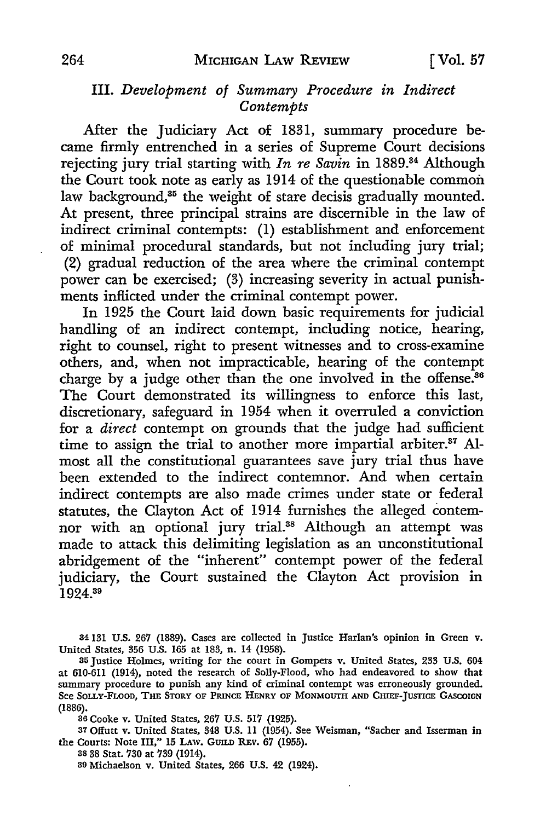#### III. *Development of Summary Procedure in Indirect Contempts*

After the Judiciary Act of 1831, summary procedure became firmly entrenched in a series of Supreme Court decisions rejecting jury trial starting with *In re Savin* in 1889.34 Although the Court took note as early as 1914 of the questionable common law background,<sup>35</sup> the weight of stare decisis gradually mounted. At present, three principal strains are discernible in the law of indirect criminal contempts: (1) establishment and enforcement of minimal procedural standards, but not including jury trial; (2) gradual reduction of the area where the criminal contempt power can be exercised; (3) increasing severity in actual punishments inflicted under the criminal contempt power.

In 1925 the Court laid down basic requirements for judicial handling of an indirect contempt, including notice, hearing, right to counsel, right to present witnesses and to cross-examine others, and, when not impracticable, hearing of the contempt charge by a judge other than the one involved in the offense.<sup>36</sup> The Court demonstrated its willingness to enforce this last, discretionary, safeguard in 1954 when it overruled a conviction for a *direct* contempt on grounds that the judge had sufficient time to assign the trial to another more impartial arbiter.<sup>37</sup> Almost all the constitutional guarantees save jury trial thus have been extended to the indirect contemnor. And when certain indirect contempts are also made crimes under state or federal statutes, the Clayton Act of 1914 furnishes the alleged contemnor with an optional jury trial.<sup>38</sup> Although an attempt was made to attack this delimiting legislation as an unconstitutional abridgement of the "inherent" contempt power of the federal judiciary, the Court sustained the Clayton Act provision in 1924.89

84 131 U.S. 267 (1889). Cases are collected in Justice Harlan's opinion in Green v. United States, 356 U.S. 165 at 183, n. 14 (1958).

85 Justice Holmes, writing for the court in Gompers v. United States, 233 U.S. 604 at 610-611 (1914), noted the research of Solly-Flood, who had endeavored to show that summary procedure to punish any kind of criminal contempt was erroneously grounded. See SOLLY-FLOOD, THE STORY OF PRINCE HENRY OF MONMOUTH AND CHIEF-JUSTICE GASCOIGN (1886).

86 Cooke v. United States, 267 U.S. 517 (1925).

37 Offutt v. United States, 348 U.S. 11 (1954). See Weisman, "Sacher and Isserman in the Courts: Note III," 15 LAW. GUlLD REv. 67 (1955).

88 38 Stat. 730 at 739 (1914).

39 Michaelson v. United States, 266 U.S. 42 (1924).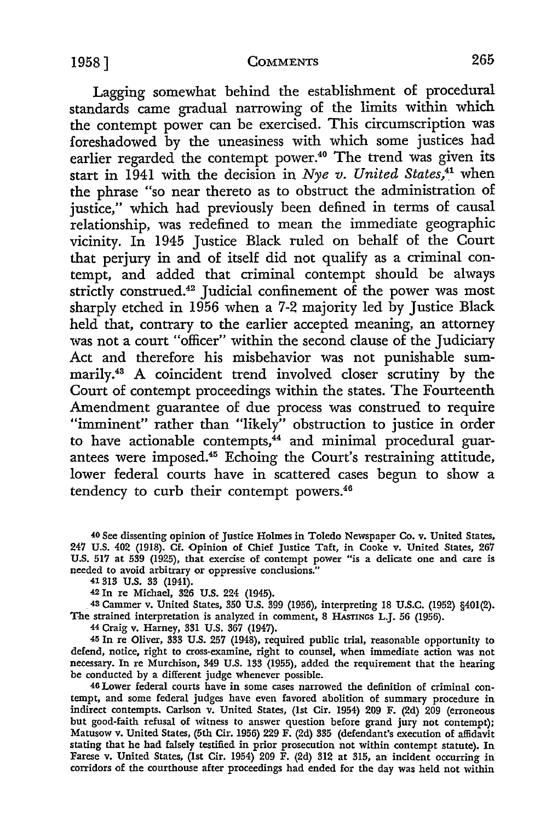#### 1958] **COMMENTS** 265

Lagging somewhat behind the establishment of procedural standards came gradual narrowing of the limits within which the contempt power can be exercised. This circumscription was foreshadowed by the uneasiness with which some justices had earlier regarded the contempt power.<sup>40</sup> The trend was given its start in 1941 with the decision in *Nye v. United States*,<sup>41</sup> when the phrase "so near thereto as to obstruct the administration of justice," which had previously been defined in terms of causal relationship, was redefined to mean the immediate geographic vicinity. In 1945 Justice Black ruled on behalf of the Court that perjury in and of itself did not qualify as a criminal contempt, and added that criminal contempt should be always strictly construed.<sup>42</sup> Judicial confinement of the power was most sharply etched in 1956 when a 7-2 majority led by Justice Black held that, contrary to the earlier accepted meaning, an attorney was not a court "officer" within the second clause of the Judiciary Act and therefore his misbehavior was not punishable summarily.<sup>43</sup> A coincident trend involved closer scrutiny by the Court of contempt proceedings within the states. The Fourteenth Amendment guarantee of due process was construed to require "imminent" rather than "likely" obstruction to justice in order to have actionable contempts,<sup>44</sup> and minimal procedural guarantees were imposed.45 Echoing the Court's restraining attitude, lower federal courts have in scattered cases begun to show a tendency to curb their contempt powers.<sup>46</sup>

40 See dissenting opinion of Justice Holmes in Toledo Newspaper Co. v. United States, 247 U.S. 402 (1918). Cf. Opinion of Chief Justice Taft, in Cooke v. United States, 267 U.S. 517 at 539 (1925), that exercise of contempt power "is a delicate one and care is needed to avoid arbitrary or oppressive conclusions."

41313 U.S. 33 (1941).

42 In re Michael, 326 U.S. 224 (1945) .

. 43 Cammer v. United States, 350 U.S. 399 {1956), interpreting 18 U.S.C. (1952) §401(2). The strained interpretation is analyzed in comment, 8 HASTINGS L.J. 56 (1956).

44 Craig v. Harney, 331 U.S. 367 (1947).

45 In re Oliver, 333 U.S. 257 (1948), required public trial, reasonable opportunity to defend, notice, right to cross-examine, right to counsel, when immediate action was not necessary. In re Murchison, 349 U.S. 133 (1955), added the requirement that the hearing be conducted by a different judge whenever possible.

46 Lower federal courts have in some cases narrowed the definition of criminal contempt, and some federal judges have even favored abolition of summary procedure in indirect contempts. Carlson v. United States, (1st Cir. 1954) 209 F. (2d) 209 (erroneous but good-faith refusal of witness to answer question before grand jury not contempt); Matusow v. United States, (5th Cir. 1956) 229 F. (2d) 335 (defendant's execution of affidavit stating that he had falsely testified in prior prosecution not within contempt statute). In Farese v. United States, (1st Cir. 1954) 209 F. (2d) 312 at 315, an incident occurring in corridors of the courthouse after proceedings had ended for the day was held not within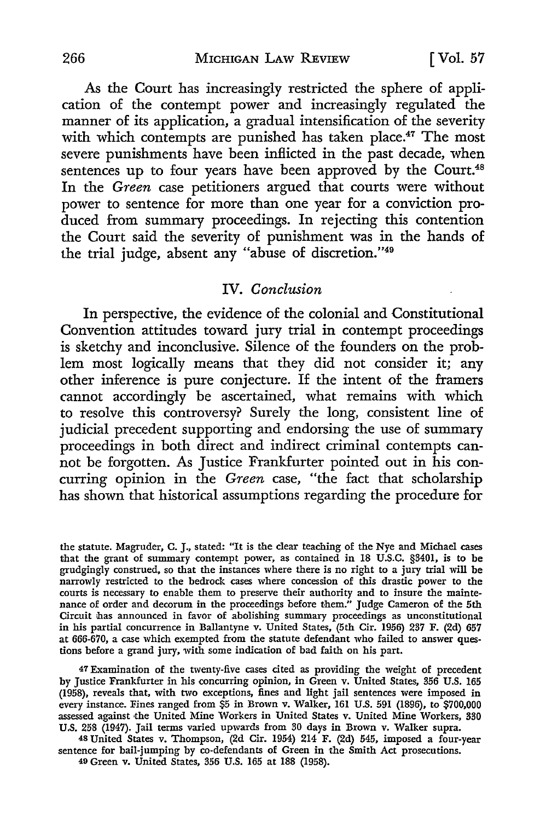As the Court has increasingly restricted the sphere of application of the contempt power and increasingly regulated the manner of its application, a gradual intensification of the severity with which contempts are punished has taken place.<sup>47</sup> The most severe punishments have been inflicted in the past decade, when sentences up to four years have been approved by the Court.<sup>48</sup> In the *Green* case petitioners argued that courts were without power to sentence for more than one year for a conviction produced from summary proceedings. In rejecting this contention the Court said the severity of punishment was in the hands of the trial judge, absent any "abuse of discretion."49

#### IV. *Conclusion*

In perspective, the evidence of the colonial and Constitutional Convention attitudes toward jury trial in contempt proceedings is sketchy and inconclusive. Silence of the founders on the problem most logically means that they did not consider it; any other inference is pure conjecture. If the intent of the framers cannot accordingly be ascertained, what remains with which to resolve this controversy? Surely the long, consistent line of judicial precedent supporting and endorsing the use of summary proceedings in both direct and indirect criminal contempts cannot be forgotten. As Justice Frankfurter pointed out in his concurring opinion in the *Green* case, "the fact that scholarship has shown that historical assumptions regarding the procedure for

47 Examination of the twenty-five cases cited as providing the weight of precedent by Justice Frankfurter in his concurring opinion, in Green v. United States, 356 U.S. 165 (1958), reveals that, with two exceptions, fines and light jail sentences were imposed in every instance. Fines ranged from \$5 in Brown v. Walker, 161 U.S. 591 (1896), to \$700,000 assessed against the United Mine Workers in United States v. United Mine Workers, 330 U.S. 258 (1947). Jail terms varied upwards from 30 days in Brown v. Walker supra.

48 United States v. Thompson, (2d Cir. 1954) 214 F. (2d) 545, imposed a four-year sentence for bail-jumping by co-defendants of Green in the Smith Act prosecutions.

49 Green v. United States, 356 U.S. 165 at 188 (1958).

the statute. Magruder, C. J., stated: "It is the clear teaching of the Nye and Michael cases that the grant of summary contempt power, as contained in 18 U.S.C. §3401, is to be grudgingly construed, so that the instances where there is no right to a jury trial will be narrowly restricted to the bedrock cases where concession of this drastic power to the courts is necessary to enable them to preserve their authority and to insure the maintenance of order and decorum in the proceedings before them." Judge Cameron of the 5th Circuit has announced in favor of abolishing summary proceedings as unconstitutional in his partial concurrence in Ballantyne v. United States, (5th Cir. 1956) 237 F. (2d) 657 at 666-670, a case which exempted from the statute defendant who failed to answer questions before a grand jury, with some indication of bad faith on his part.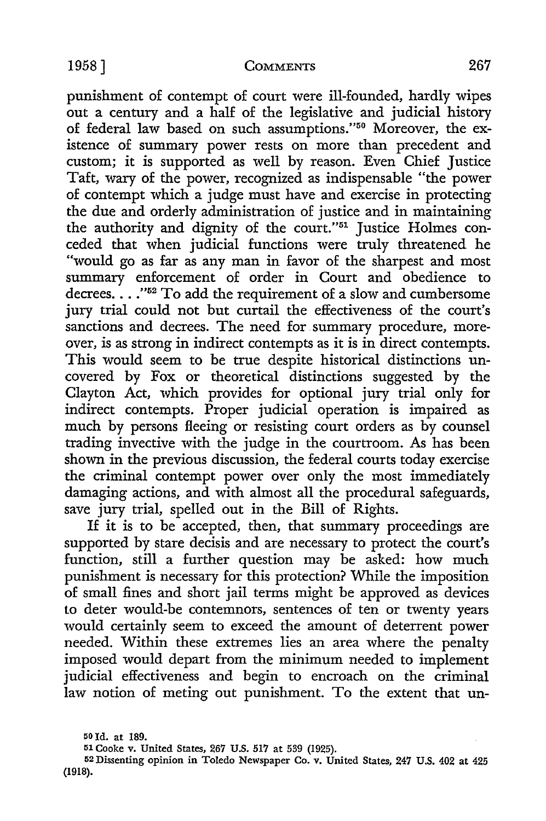punishment of contempt of court were ill-founded, hardly wipes out a century and a half of the legislative and judicial history of federal law based on such assumptions."50 Moreover, the existence of summary power rests on more than precedent and custom; it is supported as well by reason. Even Chief Justice Taft, wary of the power, recognized as indispensable "the power of contempt which a judge must have and exercise in protecting the due and orderly administration of justice and in maintaining the authority and dignity of the court."51 Justice Holmes conceded that when judicial functions were truly threatened he "would go as far as any man in favor of the sharpest and most summary enforcement of order in Court and obedience to decrees.  $\ldots$  "<sup>52</sup> To add the requirement of a slow and cumbersome jury trial could not but curtail the effectiveness of the court's sanctions and decrees. The need for. summary procedure, moreover, is as strong in indirect contempts as it is in direct contempts. This would seem to be true despite historical distinctions uncovered by Fox or theoretical distinctions suggested by the Clayton Act, which provides for optional jury trial only for indirect contempts. Proper judicial operation is impaired as much by persons fleeing or resisting court orders as by counsel trading invective with the judge in the courtroom. As has been shown in the previous discussion, the federal courts today exercise the criminal contempt power over only the most immediately damaging actions, and with almost all the procedural safeguards, save jury trial, spelled out in the Bill of Rights.

If it is to be accepted, then, that summary proceedings are supported by stare decisis and are necessary to protect the court's function, still a further question may be asked: how much punishment is necessary for this protection? While the imposition of small fines and short jail terms might be approved as devices to deter would-be contemnors, sentences of ten or twenty years would certainly seem to exceed the amount of deterrent power needed. Within these extremes lies an area where the penalty imposed would depart from the minimum needed to implement judicial effectiveness and begin to encroach on the criminal law notion of meting out punishment. To the extent that un-

<sup>50</sup> Id. at 189.

<sup>51</sup> Cooke v. United States, 267 U.S. 517 at 539 (1925).

<sup>52</sup> Dissenting opinion in Toledo Newspaper Co. v. United States, 247 U.S. 402 at 425 (1918).